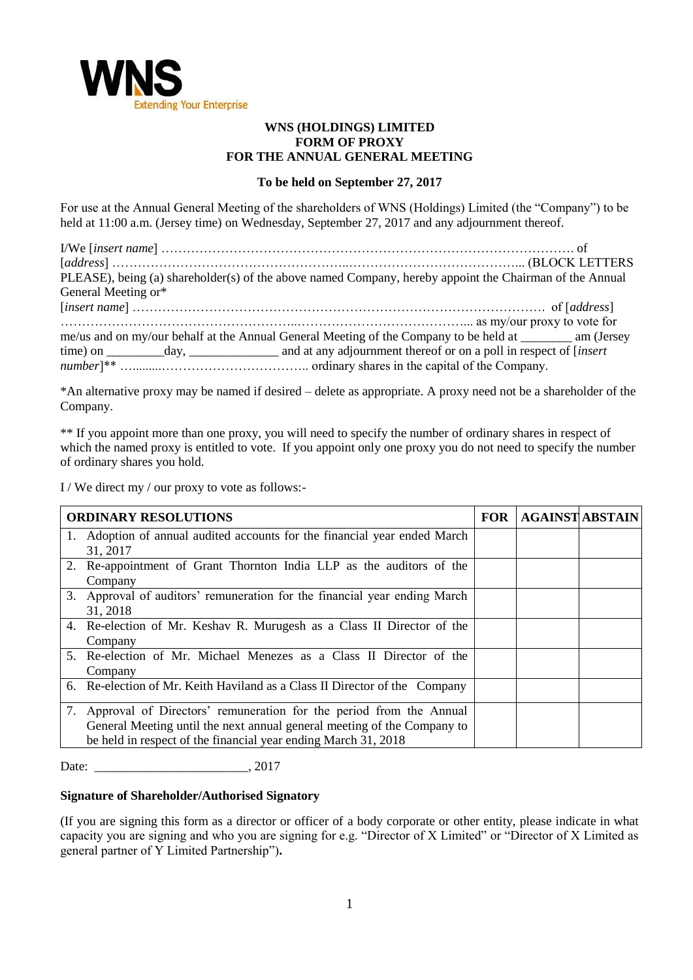

## **WNS (HOLDINGS) LIMITED FORM OF PROXY FOR THE ANNUAL GENERAL MEETING**

## **To be held on September 27, 2017**

For use at the Annual General Meeting of the shareholders of WNS (Holdings) Limited (the "Company") to be held at 11:00 a.m. (Jersey time) on Wednesday, September 27, 2017 and any adjournment thereof.

| PLEASE), being (a) shareholder(s) of the above named Company, hereby appoint the Chairman of the Annual     |  |
|-------------------------------------------------------------------------------------------------------------|--|
| General Meeting or*                                                                                         |  |
|                                                                                                             |  |
|                                                                                                             |  |
| me/us and on my/our behalf at the Annual General Meeting of the Company to be held at __________ am (Jersey |  |
|                                                                                                             |  |
|                                                                                                             |  |

\*An alternative proxy may be named if desired – delete as appropriate. A proxy need not be a shareholder of the Company.

\*\* If you appoint more than one proxy, you will need to specify the number of ordinary shares in respect of which the named proxy is entitled to vote. If you appoint only one proxy you do not need to specify the number of ordinary shares you hold.

I / We direct my / our proxy to vote as follows:-

| <b>ORDINARY RESOLUTIONS</b>                                                                                                                                                                                        | <b>FOR</b> | <b>AGAINST ABSTAIN</b> |
|--------------------------------------------------------------------------------------------------------------------------------------------------------------------------------------------------------------------|------------|------------------------|
| 1. Adoption of annual audited accounts for the financial year ended March                                                                                                                                          |            |                        |
| 31, 2017<br>2. Re-appointment of Grant Thornton India LLP as the auditors of the                                                                                                                                   |            |                        |
| Company                                                                                                                                                                                                            |            |                        |
| 3. Approval of auditors' remuneration for the financial year ending March<br>31, 2018                                                                                                                              |            |                        |
| 4. Re-election of Mr. Keshav R. Murugesh as a Class II Director of the<br>Company                                                                                                                                  |            |                        |
| 5. Re-election of Mr. Michael Menezes as a Class II Director of the<br>Company                                                                                                                                     |            |                        |
| 6. Re-election of Mr. Keith Haviland as a Class II Director of the Company                                                                                                                                         |            |                        |
| 7. Approval of Directors' remuneration for the period from the Annual<br>General Meeting until the next annual general meeting of the Company to<br>be held in respect of the financial year ending March 31, 2018 |            |                        |

Date: 2017

## **Signature of Shareholder/Authorised Signatory**

(If you are signing this form as a director or officer of a body corporate or other entity, please indicate in what capacity you are signing and who you are signing for e.g. "Director of X Limited" or "Director of X Limited as general partner of Y Limited Partnership")**.**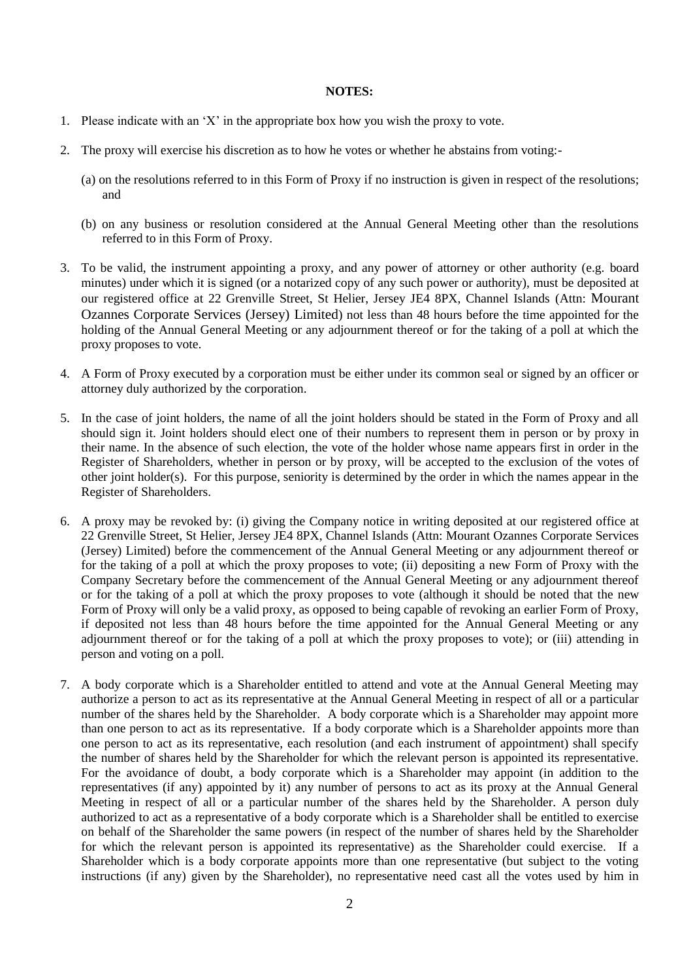## **NOTES:**

- 1. Please indicate with an 'X' in the appropriate box how you wish the proxy to vote.
- 2. The proxy will exercise his discretion as to how he votes or whether he abstains from voting:-
	- (a) on the resolutions referred to in this Form of Proxy if no instruction is given in respect of the resolutions; and
	- (b) on any business or resolution considered at the Annual General Meeting other than the resolutions referred to in this Form of Proxy.
- 3. To be valid, the instrument appointing a proxy, and any power of attorney or other authority (e.g. board minutes) under which it is signed (or a notarized copy of any such power or authority), must be deposited at our registered office at 22 Grenville Street, St Helier, Jersey JE4 8PX, Channel Islands (Attn: Mourant Ozannes Corporate Services (Jersey) Limited) not less than 48 hours before the time appointed for the holding of the Annual General Meeting or any adjournment thereof or for the taking of a poll at which the proxy proposes to vote.
- 4. A Form of Proxy executed by a corporation must be either under its common seal or signed by an officer or attorney duly authorized by the corporation.
- 5. In the case of joint holders, the name of all the joint holders should be stated in the Form of Proxy and all should sign it. Joint holders should elect one of their numbers to represent them in person or by proxy in their name. In the absence of such election, the vote of the holder whose name appears first in order in the Register of Shareholders, whether in person or by proxy, will be accepted to the exclusion of the votes of other joint holder(s). For this purpose, seniority is determined by the order in which the names appear in the Register of Shareholders.
- 6. A proxy may be revoked by: (i) giving the Company notice in writing deposited at our registered office at 22 Grenville Street, St Helier, Jersey JE4 8PX, Channel Islands (Attn: Mourant Ozannes Corporate Services (Jersey) Limited) before the commencement of the Annual General Meeting or any adjournment thereof or for the taking of a poll at which the proxy proposes to vote; (ii) depositing a new Form of Proxy with the Company Secretary before the commencement of the Annual General Meeting or any adjournment thereof or for the taking of a poll at which the proxy proposes to vote (although it should be noted that the new Form of Proxy will only be a valid proxy, as opposed to being capable of revoking an earlier Form of Proxy, if deposited not less than 48 hours before the time appointed for the Annual General Meeting or any adjournment thereof or for the taking of a poll at which the proxy proposes to vote); or (iii) attending in person and voting on a poll.
- 7. A body corporate which is a Shareholder entitled to attend and vote at the Annual General Meeting may authorize a person to act as its representative at the Annual General Meeting in respect of all or a particular number of the shares held by the Shareholder. A body corporate which is a Shareholder may appoint more than one person to act as its representative. If a body corporate which is a Shareholder appoints more than one person to act as its representative, each resolution (and each instrument of appointment) shall specify the number of shares held by the Shareholder for which the relevant person is appointed its representative. For the avoidance of doubt, a body corporate which is a Shareholder may appoint (in addition to the representatives (if any) appointed by it) any number of persons to act as its proxy at the Annual General Meeting in respect of all or a particular number of the shares held by the Shareholder. A person duly authorized to act as a representative of a body corporate which is a Shareholder shall be entitled to exercise on behalf of the Shareholder the same powers (in respect of the number of shares held by the Shareholder for which the relevant person is appointed its representative) as the Shareholder could exercise. If a Shareholder which is a body corporate appoints more than one representative (but subject to the voting instructions (if any) given by the Shareholder), no representative need cast all the votes used by him in